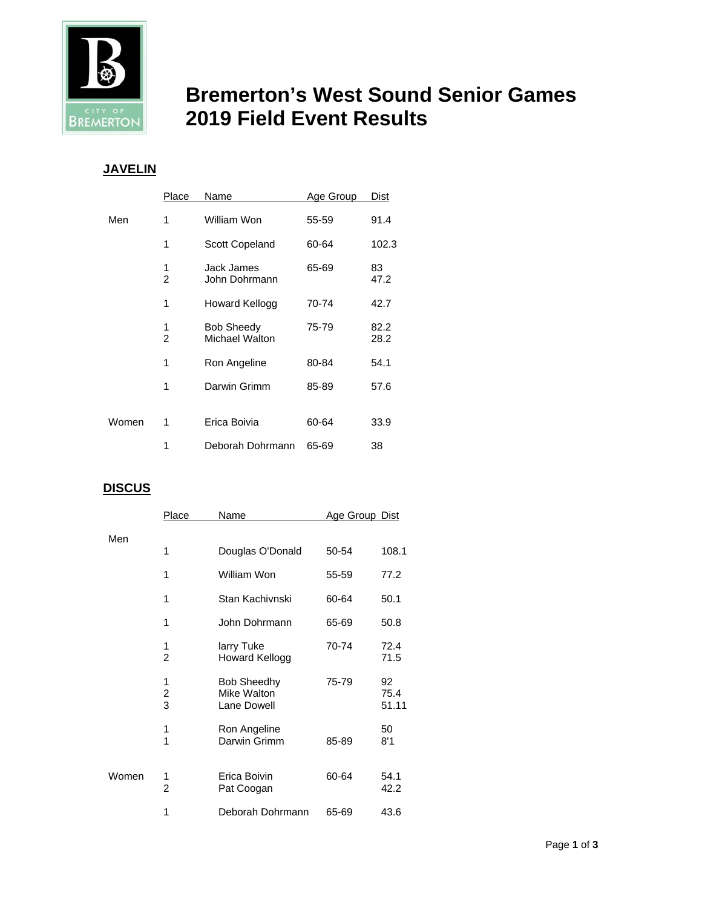

# **Bremerton's West Sound Senior Games BREMERTON** 2019 Field Event Results

## **JAVELIN**

|       | Place  | <b>Name</b>                         | Age Group | Dist         |
|-------|--------|-------------------------------------|-----------|--------------|
| Men   | 1      | William Won                         | 55-59     | 91.4         |
|       | 1      | <b>Scott Copeland</b>               | 60-64     | 102.3        |
|       | 1<br>2 | Jack James<br>John Dohrmann         | 65-69     | 83<br>47.2   |
|       | 1      | Howard Kellogg                      | 70-74     | 42.7         |
|       | 1<br>2 | <b>Bob Sheedy</b><br>Michael Walton | 75-79     | 82.2<br>28.2 |
|       | 1      | Ron Angeline                        | 80-84     | 54.1         |
|       | 1      | Darwin Grimm                        | 85-89     | 57.6         |
|       |        |                                     |           |              |
| Women | 1      | Erica Boivia                        | 60-64     | 33.9         |
|       | 1      | Deborah Dohrmann                    | 65-69     | 38           |

## **DISCUS**

|       | Place               | Name                                             | <u>Age Group_Dist</u> |                     |
|-------|---------------------|--------------------------------------------------|-----------------------|---------------------|
| Men   |                     |                                                  |                       |                     |
|       | 1                   | Douglas O'Donald                                 | 50-54                 | 108.1               |
|       | 1                   | William Won                                      | 55-59                 | 77.2                |
|       | 1                   | Stan Kachivnski                                  | 60-64                 | 50.1                |
|       | 1                   | John Dohrmann                                    | 65-69                 | 50.8                |
|       | 1<br>$\overline{2}$ | larry Tuke<br>Howard Kellogg                     | 70-74                 | 72.4<br>71.5        |
|       | 1<br>$\frac{2}{3}$  | <b>Bob Sheedhy</b><br>Mike Walton<br>Lane Dowell | 75-79                 | 92<br>75.4<br>51.11 |
|       | 1<br>1              | Ron Angeline<br>Darwin Grimm                     | 85-89                 | 50<br>8'1           |
| Women | 1<br>2              | Erica Boivin<br>Pat Coogan                       | 60-64                 | 54.1<br>42.2        |
|       | 1                   | Deborah Dohrmann                                 | 65-69                 | 43.6                |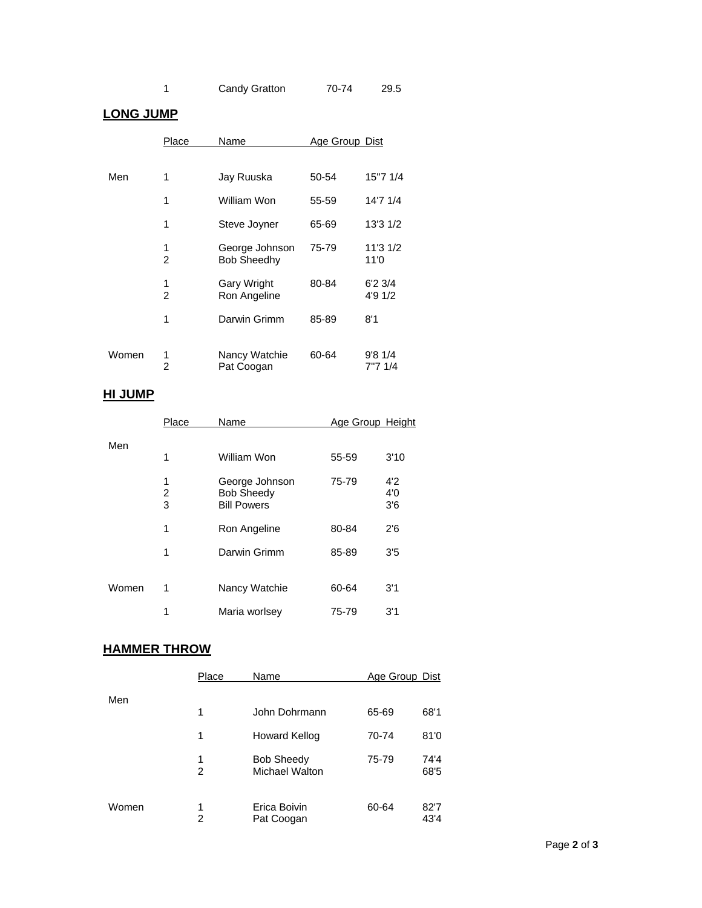| Candy Gratton | 70-74 | 29.5 |
|---------------|-------|------|
|---------------|-------|------|

#### **LONG JUMP**

|       | <b>Place</b>        | Name                                 | Age Group Dist |                              |
|-------|---------------------|--------------------------------------|----------------|------------------------------|
|       |                     |                                      |                |                              |
| Men   | 1                   | Jay Ruuska                           | 50-54          | 15"7 1/4                     |
|       | 1                   | William Won                          | 55-59          | 14'7 1/4                     |
|       | 1                   | Steve Joyner                         | 65-69          | 13'3 1/2                     |
|       | 1<br>$\overline{c}$ | George Johnson<br><b>Bob Sheedhy</b> | 75-79          | 11'3 1/2<br>11'0             |
|       | 1<br>$\overline{2}$ | <b>Gary Wright</b><br>Ron Angeline   | 80-84          | $6'2 \frac{3}{4}$<br>4'9 1/2 |
|       | 1                   | Darwin Grimm                         | 85-89          | 8'1                          |
| Women | 1<br>2              | Nancy Watchie<br>Pat Coogan          | 60-64          | 9'81/4<br>7"7 1/4            |

### **HI JUMP**

|       | Place       | Name                                                      | Age Group Height |                   |
|-------|-------------|-----------------------------------------------------------|------------------|-------------------|
| Men   |             |                                                           |                  |                   |
|       | 1           | William Won                                               | 55-59            | 3'10              |
|       | 1<br>2<br>3 | George Johnson<br><b>Bob Sheedy</b><br><b>Bill Powers</b> | 75-79            | 4'2<br>4'0<br>3'6 |
|       | 1           | Ron Angeline                                              | 80-84            | 2'6               |
|       | 1           | Darwin Grimm                                              | 85-89            | 3'5               |
| Women | 1           | Nancy Watchie                                             | 60-64            | 3'1               |
|       | 1           | Maria worlsey                                             | 75-79            | 3'1               |

#### **HAMMER THROW**

|       | Place  | Name                                | Age Group Dist |              |
|-------|--------|-------------------------------------|----------------|--------------|
| Men   |        |                                     |                |              |
|       | 1      | John Dohrmann                       | 65-69          | 68'1         |
|       | 1      | Howard Kellog                       | 70-74          | 81'0         |
|       | 1<br>2 | <b>Bob Sheedy</b><br>Michael Walton | 75-79          | 74'4<br>68'5 |
| Women | 1<br>2 | Erica Boivin<br>Pat Coogan          | 60-64          | 82'7<br>43'4 |